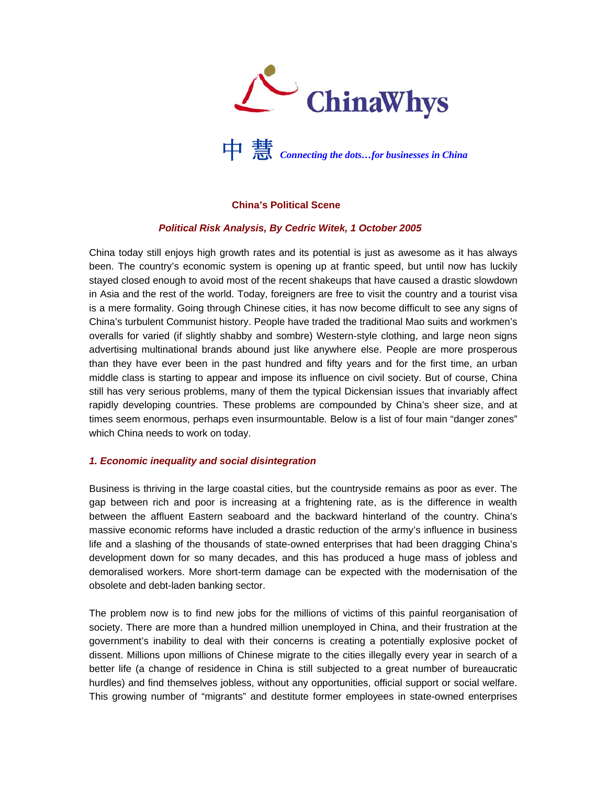



# **China's Political Scene**

### *Political Risk Analysis, By Cedric Witek, 1 October 2005*

China today still enjoys high growth rates and its potential is just as awesome as it has always been. The country's economic system is opening up at frantic speed, but until now has luckily stayed closed enough to avoid most of the recent shakeups that have caused a drastic slowdown in Asia and the rest of the world. Today, foreigners are free to visit the country and a tourist visa is a mere formality. Going through Chinese cities, it has now become difficult to see any signs of China's turbulent Communist history. People have traded the traditional Mao suits and workmen's overalls for varied (if slightly shabby and sombre) Western-style clothing, and large neon signs advertising multinational brands abound just like anywhere else. People are more prosperous than they have ever been in the past hundred and fifty years and for the first time, an urban middle class is starting to appear and impose its influence on civil society. But of course, China still has very serious problems, many of them the typical Dickensian issues that invariably affect rapidly developing countries. These problems are compounded by China's sheer size, and at times seem enormous, perhaps even insurmountable. Below is a list of four main "danger zones" which China needs to work on today.

### *1. Economic inequality and social disintegration*

Business is thriving in the large coastal cities, but the countryside remains as poor as ever. The gap between rich and poor is increasing at a frightening rate, as is the difference in wealth between the affluent Eastern seaboard and the backward hinterland of the country. China's massive economic reforms have included a drastic reduction of the army's influence in business life and a slashing of the thousands of state-owned enterprises that had been dragging China's development down for so many decades, and this has produced a huge mass of jobless and demoralised workers. More short-term damage can be expected with the modernisation of the obsolete and debt-laden banking sector.

The problem now is to find new jobs for the millions of victims of this painful reorganisation of society. There are more than a hundred million unemployed in China, and their frustration at the government's inability to deal with their concerns is creating a potentially explosive pocket of dissent. Millions upon millions of Chinese migrate to the cities illegally every year in search of a better life (a change of residence in China is still subjected to a great number of bureaucratic hurdles) and find themselves jobless, without any opportunities, official support or social welfare. This growing number of "migrants" and destitute former employees in state-owned enterprises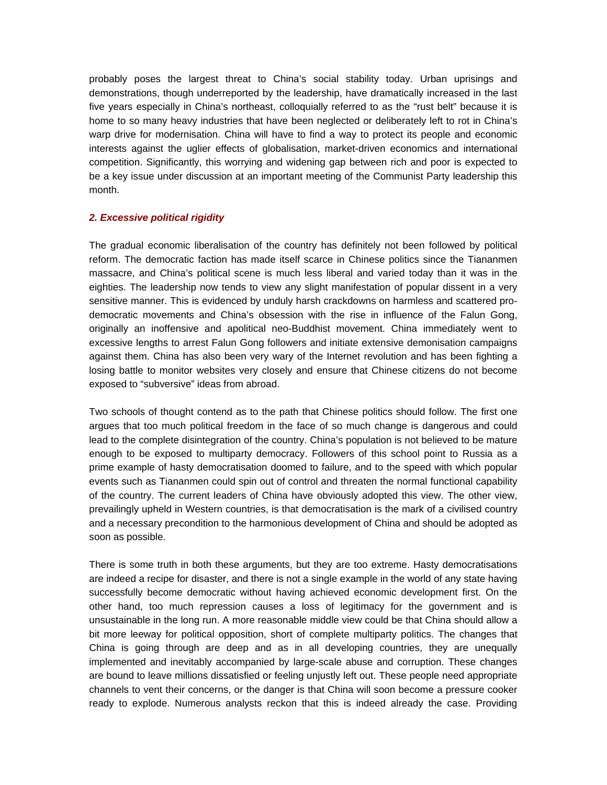probably poses the largest threat to China's social stability today. Urban uprisings and demonstrations, though underreported by the leadership, have dramatically increased in the last five years especially in China's northeast, colloquially referred to as the "rust belt" because it is home to so many heavy industries that have been neglected or deliberately left to rot in China's warp drive for modernisation. China will have to find a way to protect its people and economic interests against the uglier effects of globalisation, market-driven economics and international competition. Significantly, this worrying and widening gap between rich and poor is expected to be a key issue under discussion at an important meeting of the Communist Party leadership this month.

### *2. Excessive political rigidity*

The gradual economic liberalisation of the country has definitely not been followed by political reform. The democratic faction has made itself scarce in Chinese politics since the Tiananmen massacre, and China's political scene is much less liberal and varied today than it was in the eighties. The leadership now tends to view any slight manifestation of popular dissent in a very sensitive manner. This is evidenced by unduly harsh crackdowns on harmless and scattered prodemocratic movements and China's obsession with the rise in influence of the Falun Gong, originally an inoffensive and apolitical neo-Buddhist movement. China immediately went to excessive lengths to arrest Falun Gong followers and initiate extensive demonisation campaigns against them. China has also been very wary of the Internet revolution and has been fighting a losing battle to monitor websites very closely and ensure that Chinese citizens do not become exposed to "subversive" ideas from abroad.

Two schools of thought contend as to the path that Chinese politics should follow. The first one argues that too much political freedom in the face of so much change is dangerous and could lead to the complete disintegration of the country. China's population is not believed to be mature enough to be exposed to multiparty democracy. Followers of this school point to Russia as a prime example of hasty democratisation doomed to failure, and to the speed with which popular events such as Tiananmen could spin out of control and threaten the normal functional capability of the country. The current leaders of China have obviously adopted this view. The other view, prevailingly upheld in Western countries, is that democratisation is the mark of a civilised country and a necessary precondition to the harmonious development of China and should be adopted as soon as possible.

There is some truth in both these arguments, but they are too extreme. Hasty democratisations are indeed a recipe for disaster, and there is not a single example in the world of any state having successfully become democratic without having achieved economic development first. On the other hand, too much repression causes a loss of legitimacy for the government and is unsustainable in the long run. A more reasonable middle view could be that China should allow a bit more leeway for political opposition, short of complete multiparty politics. The changes that China is going through are deep and as in all developing countries, they are unequally implemented and inevitably accompanied by large-scale abuse and corruption. These changes are bound to leave millions dissatisfied or feeling unjustly left out. These people need appropriate channels to vent their concerns, or the danger is that China will soon become a pressure cooker ready to explode. Numerous analysts reckon that this is indeed already the case. Providing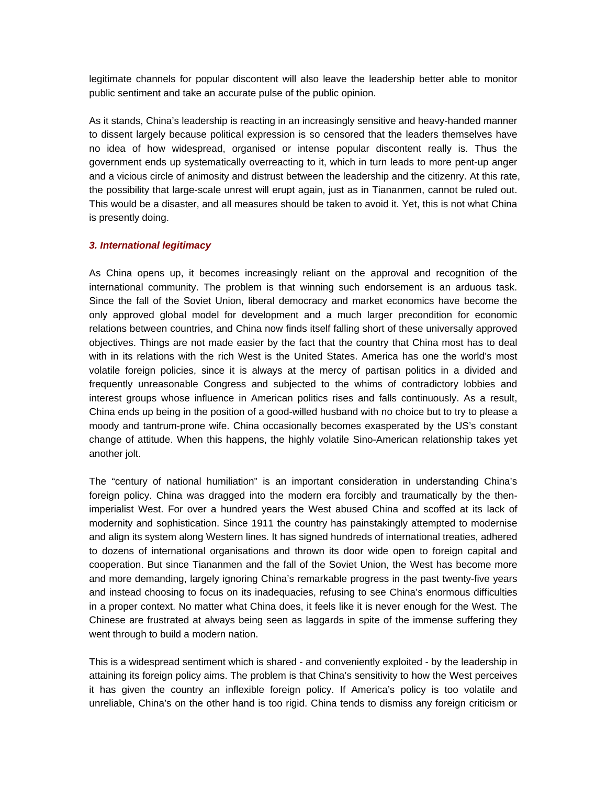legitimate channels for popular discontent will also leave the leadership better able to monitor public sentiment and take an accurate pulse of the public opinion.

As it stands, China's leadership is reacting in an increasingly sensitive and heavy-handed manner to dissent largely because political expression is so censored that the leaders themselves have no idea of how widespread, organised or intense popular discontent really is. Thus the government ends up systematically overreacting to it, which in turn leads to more pent-up anger and a vicious circle of animosity and distrust between the leadership and the citizenry. At this rate, the possibility that large-scale unrest will erupt again, just as in Tiananmen, cannot be ruled out. This would be a disaster, and all measures should be taken to avoid it. Yet, this is not what China is presently doing.

#### *3. International legitimacy*

As China opens up, it becomes increasingly reliant on the approval and recognition of the international community. The problem is that winning such endorsement is an arduous task. Since the fall of the Soviet Union, liberal democracy and market economics have become the only approved global model for development and a much larger precondition for economic relations between countries, and China now finds itself falling short of these universally approved objectives. Things are not made easier by the fact that the country that China most has to deal with in its relations with the rich West is the United States. America has one the world's most volatile foreign policies, since it is always at the mercy of partisan politics in a divided and frequently unreasonable Congress and subjected to the whims of contradictory lobbies and interest groups whose influence in American politics rises and falls continuously. As a result, China ends up being in the position of a good-willed husband with no choice but to try to please a moody and tantrum-prone wife. China occasionally becomes exasperated by the US's constant change of attitude. When this happens, the highly volatile Sino-American relationship takes yet another jolt.

The "century of national humiliation" is an important consideration in understanding China's foreign policy. China was dragged into the modern era forcibly and traumatically by the thenimperialist West. For over a hundred years the West abused China and scoffed at its lack of modernity and sophistication. Since 1911 the country has painstakingly attempted to modernise and align its system along Western lines. It has signed hundreds of international treaties, adhered to dozens of international organisations and thrown its door wide open to foreign capital and cooperation. But since Tiananmen and the fall of the Soviet Union, the West has become more and more demanding, largely ignoring China's remarkable progress in the past twenty-five years and instead choosing to focus on its inadequacies, refusing to see China's enormous difficulties in a proper context. No matter what China does, it feels like it is never enough for the West. The Chinese are frustrated at always being seen as laggards in spite of the immense suffering they went through to build a modern nation.

This is a widespread sentiment which is shared - and conveniently exploited - by the leadership in attaining its foreign policy aims. The problem is that China's sensitivity to how the West perceives it has given the country an inflexible foreign policy. If America's policy is too volatile and unreliable, China's on the other hand is too rigid. China tends to dismiss any foreign criticism or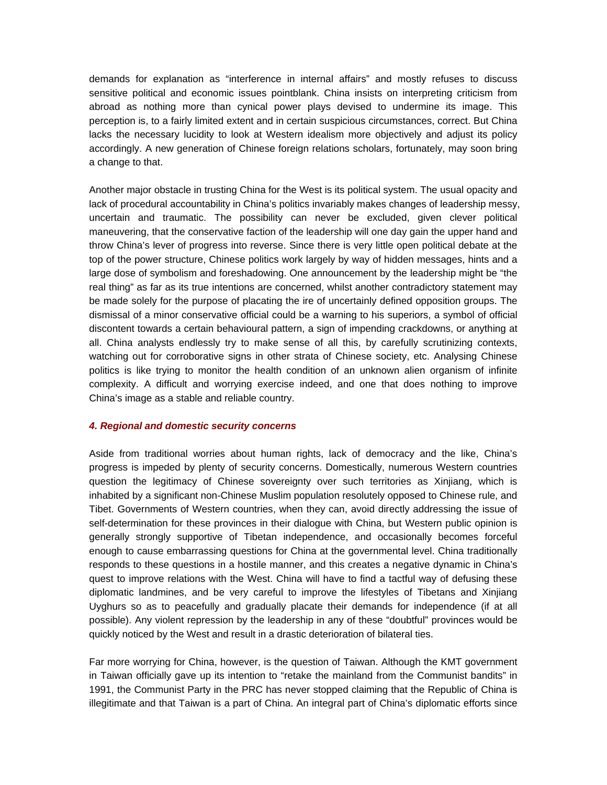demands for explanation as "interference in internal affairs" and mostly refuses to discuss sensitive political and economic issues pointblank. China insists on interpreting criticism from abroad as nothing more than cynical power plays devised to undermine its image. This perception is, to a fairly limited extent and in certain suspicious circumstances, correct. But China lacks the necessary lucidity to look at Western idealism more objectively and adjust its policy accordingly. A new generation of Chinese foreign relations scholars, fortunately, may soon bring a change to that.

Another major obstacle in trusting China for the West is its political system. The usual opacity and lack of procedural accountability in China's politics invariably makes changes of leadership messy, uncertain and traumatic. The possibility can never be excluded, given clever political maneuvering, that the conservative faction of the leadership will one day gain the upper hand and throw China's lever of progress into reverse. Since there is very little open political debate at the top of the power structure, Chinese politics work largely by way of hidden messages, hints and a large dose of symbolism and foreshadowing. One announcement by the leadership might be "the real thing" as far as its true intentions are concerned, whilst another contradictory statement may be made solely for the purpose of placating the ire of uncertainly defined opposition groups. The dismissal of a minor conservative official could be a warning to his superiors, a symbol of official discontent towards a certain behavioural pattern, a sign of impending crackdowns, or anything at all. China analysts endlessly try to make sense of all this, by carefully scrutinizing contexts, watching out for corroborative signs in other strata of Chinese society, etc. Analysing Chinese politics is like trying to monitor the health condition of an unknown alien organism of infinite complexity. A difficult and worrying exercise indeed, and one that does nothing to improve China's image as a stable and reliable country.

### *4. Regional and domestic security concerns*

Aside from traditional worries about human rights, lack of democracy and the like, China's progress is impeded by plenty of security concerns. Domestically, numerous Western countries question the legitimacy of Chinese sovereignty over such territories as Xinjiang, which is inhabited by a significant non-Chinese Muslim population resolutely opposed to Chinese rule, and Tibet. Governments of Western countries, when they can, avoid directly addressing the issue of self-determination for these provinces in their dialogue with China, but Western public opinion is generally strongly supportive of Tibetan independence, and occasionally becomes forceful enough to cause embarrassing questions for China at the governmental level. China traditionally responds to these questions in a hostile manner, and this creates a negative dynamic in China's quest to improve relations with the West. China will have to find a tactful way of defusing these diplomatic landmines, and be very careful to improve the lifestyles of Tibetans and Xinjiang Uyghurs so as to peacefully and gradually placate their demands for independence (if at all possible). Any violent repression by the leadership in any of these "doubtful" provinces would be quickly noticed by the West and result in a drastic deterioration of bilateral ties.

Far more worrying for China, however, is the question of Taiwan. Although the KMT government in Taiwan officially gave up its intention to "retake the mainland from the Communist bandits" in 1991, the Communist Party in the PRC has never stopped claiming that the Republic of China is illegitimate and that Taiwan is a part of China. An integral part of China's diplomatic efforts since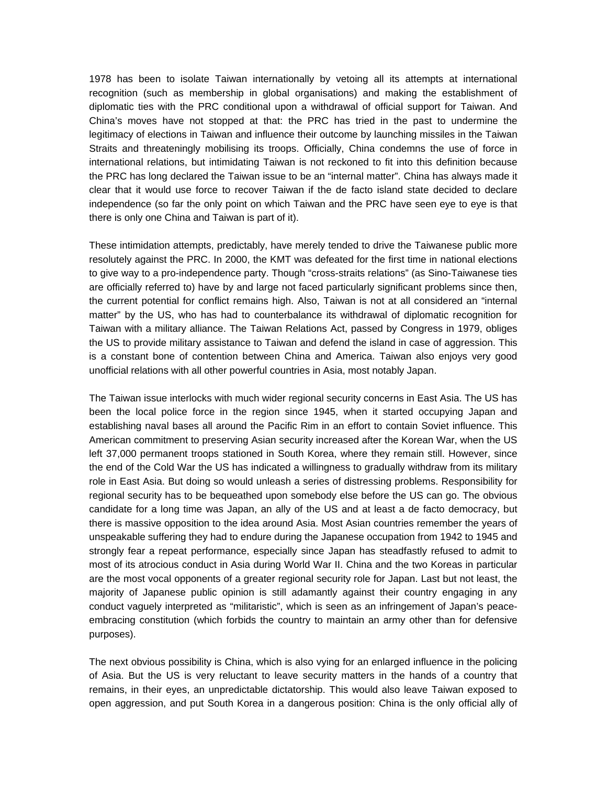1978 has been to isolate Taiwan internationally by vetoing all its attempts at international recognition (such as membership in global organisations) and making the establishment of diplomatic ties with the PRC conditional upon a withdrawal of official support for Taiwan. And China's moves have not stopped at that: the PRC has tried in the past to undermine the legitimacy of elections in Taiwan and influence their outcome by launching missiles in the Taiwan Straits and threateningly mobilising its troops. Officially, China condemns the use of force in international relations, but intimidating Taiwan is not reckoned to fit into this definition because the PRC has long declared the Taiwan issue to be an "internal matter". China has always made it clear that it would use force to recover Taiwan if the de facto island state decided to declare independence (so far the only point on which Taiwan and the PRC have seen eye to eye is that there is only one China and Taiwan is part of it).

These intimidation attempts, predictably, have merely tended to drive the Taiwanese public more resolutely against the PRC. In 2000, the KMT was defeated for the first time in national elections to give way to a pro-independence party. Though "cross-straits relations" (as Sino-Taiwanese ties are officially referred to) have by and large not faced particularly significant problems since then, the current potential for conflict remains high. Also, Taiwan is not at all considered an "internal matter" by the US, who has had to counterbalance its withdrawal of diplomatic recognition for Taiwan with a military alliance. The Taiwan Relations Act, passed by Congress in 1979, obliges the US to provide military assistance to Taiwan and defend the island in case of aggression. This is a constant bone of contention between China and America. Taiwan also enjoys very good unofficial relations with all other powerful countries in Asia, most notably Japan.

The Taiwan issue interlocks with much wider regional security concerns in East Asia. The US has been the local police force in the region since 1945, when it started occupying Japan and establishing naval bases all around the Pacific Rim in an effort to contain Soviet influence. This American commitment to preserving Asian security increased after the Korean War, when the US left 37,000 permanent troops stationed in South Korea, where they remain still. However, since the end of the Cold War the US has indicated a willingness to gradually withdraw from its military role in East Asia. But doing so would unleash a series of distressing problems. Responsibility for regional security has to be bequeathed upon somebody else before the US can go. The obvious candidate for a long time was Japan, an ally of the US and at least a de facto democracy, but there is massive opposition to the idea around Asia. Most Asian countries remember the years of unspeakable suffering they had to endure during the Japanese occupation from 1942 to 1945 and strongly fear a repeat performance, especially since Japan has steadfastly refused to admit to most of its atrocious conduct in Asia during World War II. China and the two Koreas in particular are the most vocal opponents of a greater regional security role for Japan. Last but not least, the majority of Japanese public opinion is still adamantly against their country engaging in any conduct vaguely interpreted as "militaristic", which is seen as an infringement of Japan's peaceembracing constitution (which forbids the country to maintain an army other than for defensive purposes).

The next obvious possibility is China, which is also vying for an enlarged influence in the policing of Asia. But the US is very reluctant to leave security matters in the hands of a country that remains, in their eyes, an unpredictable dictatorship. This would also leave Taiwan exposed to open aggression, and put South Korea in a dangerous position: China is the only official ally of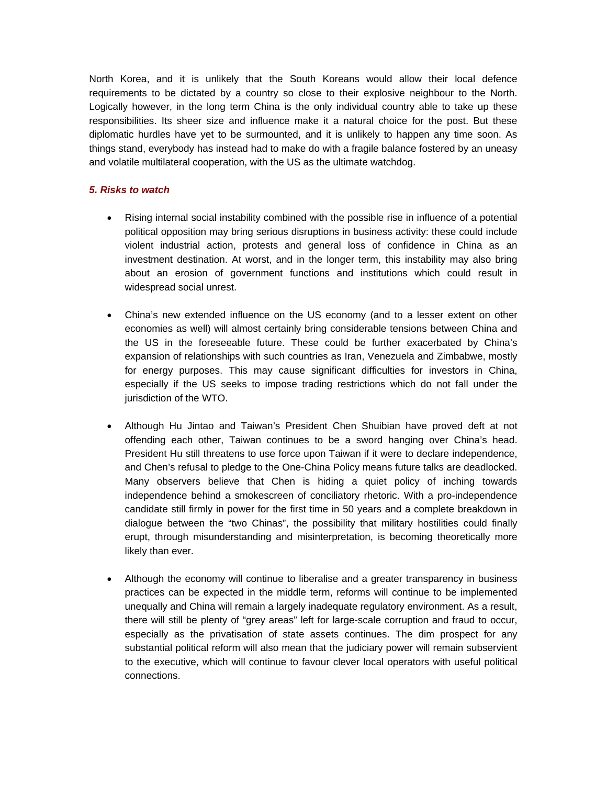North Korea, and it is unlikely that the South Koreans would allow their local defence requirements to be dictated by a country so close to their explosive neighbour to the North. Logically however, in the long term China is the only individual country able to take up these responsibilities. Its sheer size and influence make it a natural choice for the post. But these diplomatic hurdles have yet to be surmounted, and it is unlikely to happen any time soon. As things stand, everybody has instead had to make do with a fragile balance fostered by an uneasy and volatile multilateral cooperation, with the US as the ultimate watchdog.

## *5. Risks to watch*

- Rising internal social instability combined with the possible rise in influence of a potential political opposition may bring serious disruptions in business activity: these could include violent industrial action, protests and general loss of confidence in China as an investment destination. At worst, and in the longer term, this instability may also bring about an erosion of government functions and institutions which could result in widespread social unrest.
- China's new extended influence on the US economy (and to a lesser extent on other economies as well) will almost certainly bring considerable tensions between China and the US in the foreseeable future. These could be further exacerbated by China's expansion of relationships with such countries as Iran, Venezuela and Zimbabwe, mostly for energy purposes. This may cause significant difficulties for investors in China, especially if the US seeks to impose trading restrictions which do not fall under the jurisdiction of the WTO.
- Although Hu Jintao and Taiwan's President Chen Shuibian have proved deft at not offending each other, Taiwan continues to be a sword hanging over China's head. President Hu still threatens to use force upon Taiwan if it were to declare independence, and Chen's refusal to pledge to the One-China Policy means future talks are deadlocked. Many observers believe that Chen is hiding a quiet policy of inching towards independence behind a smokescreen of conciliatory rhetoric. With a pro-independence candidate still firmly in power for the first time in 50 years and a complete breakdown in dialogue between the "two Chinas", the possibility that military hostilities could finally erupt, through misunderstanding and misinterpretation, is becoming theoretically more likely than ever.
- Although the economy will continue to liberalise and a greater transparency in business practices can be expected in the middle term, reforms will continue to be implemented unequally and China will remain a largely inadequate regulatory environment. As a result, there will still be plenty of "grey areas" left for large-scale corruption and fraud to occur, especially as the privatisation of state assets continues. The dim prospect for any substantial political reform will also mean that the judiciary power will remain subservient to the executive, which will continue to favour clever local operators with useful political connections.